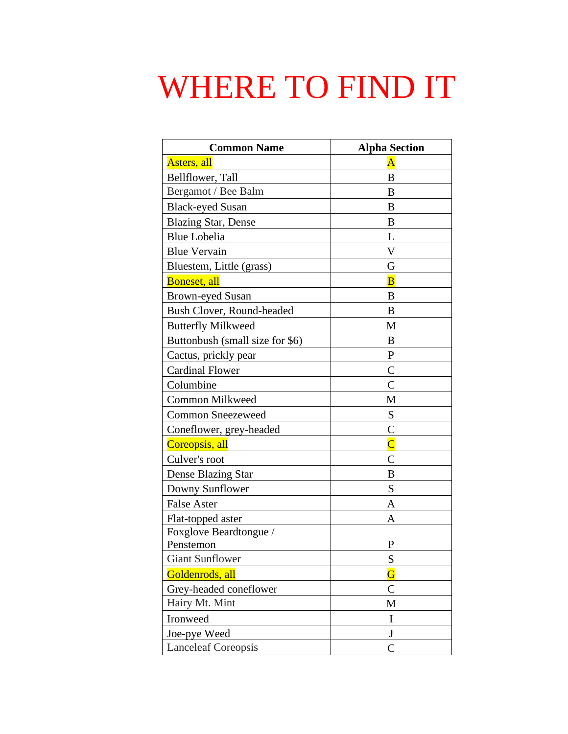## WHERE TO FIND IT

| <b>Common Name</b>              | <b>Alpha Section</b>    |
|---------------------------------|-------------------------|
| Asters, all                     | $\overline{\rm A}$      |
| Bellflower, Tall                | B                       |
| Bergamot / Bee Balm             | B                       |
| <b>Black-eyed Susan</b>         | B                       |
| <b>Blazing Star, Dense</b>      | B                       |
| <b>Blue Lobelia</b>             | L                       |
| <b>Blue Vervain</b>             | V                       |
| Bluestem, Little (grass)        | G                       |
| Boneset, all                    | $\overline{\mathbf{B}}$ |
| <b>Brown-eyed Susan</b>         | B                       |
| Bush Clover, Round-headed       | B                       |
| <b>Butterfly Milkweed</b>       | M                       |
| Buttonbush (small size for \$6) | B                       |
| Cactus, prickly pear            | $\mathbf{P}$            |
| <b>Cardinal Flower</b>          | $\mathcal{C}$           |
| Columbine                       | $\overline{C}$          |
| <b>Common Milkweed</b>          | M                       |
| <b>Common Sneezeweed</b>        | S                       |
| Coneflower, grey-headed         | $\mathsf{C}$            |
| Coreopsis, all                  | $\overline{\text{C}}$   |
| Culver's root                   | $\overline{C}$          |
| Dense Blazing Star              | B                       |
| Downy Sunflower                 | S                       |
| <b>False Aster</b>              | A                       |
| Flat-topped aster               | Α                       |
| Foxglove Beardtongue /          |                         |
| Penstemon                       | P                       |
| <b>Giant Sunflower</b>          | S                       |
| Goldenrods, all                 | $\overline{\mathbf{G}}$ |
| Grey-headed coneflower          | $\mathbf C$             |
| Hairy Mt. Mint                  | M                       |
| Ironweed                        | $\bf I$                 |
| Joe-pye Weed                    | $\bf J$                 |
| <b>Lanceleaf Coreopsis</b>      | $\mathsf{C}$            |